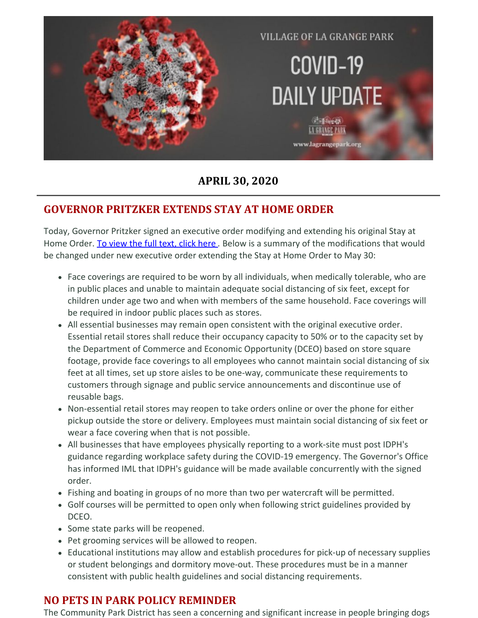

### **APRIL 30, 2020**

## **GOVERNOR PRITZKER EXTENDS STAY AT HOME ORDER**

Today, Governor Pritzker signed an executive order modifying and extending his original Stay at Home Order. To [view](https://www.iml.org/file.cfm?key=18834) the full text, click here. Below is a summary of the modifications that would be changed under new executive order extending the Stay at Home Order to May 30:

- Face coverings are required to be worn by all individuals, when medically tolerable, who are in public places and unable to maintain adequate social distancing of six feet, except for children under age two and when with members of the same household. Face coverings will be required in indoor public places such as stores.
- All essential businesses may remain open consistent with the original executive order. Essential retail stores shall reduce their occupancy capacity to 50% or to the capacity set by the Department of Commerce and Economic Opportunity (DCEO) based on store square footage, provide face coverings to all employees who cannot maintain social distancing of six feet at all times, set up store aisles to be one-way, communicate these requirements to customers through signage and public service announcements and discontinue use of reusable bags.
- Non-essential retail stores may reopen to take orders online or over the phone for either pickup outside the store or delivery. Employees must maintain social distancing of six feet or wear a face covering when that is not possible.
- All businesses that have employees physically reporting to a work-site must post IDPH's guidance regarding workplace safety during the COVID-19 emergency. The Governor's Office has informed IML that IDPH's guidance will be made available concurrently with the signed order.
- Fishing and boating in groups of no more than two per watercraft will be permitted.
- Golf courses will be permitted to open only when following strict guidelines provided by DCEO.
- Some state parks will be reopened.
- Pet grooming services will be allowed to reopen.
- Educational institutions may allow and establish procedures for pick-up of necessary supplies or student belongings and dormitory move-out. These procedures must be in a manner consistent with public health guidelines and social distancing requirements.

### **NO PETS IN PARK POLICY REMINDER**

The Community Park District has seen a concerning and significant increase in people bringing dogs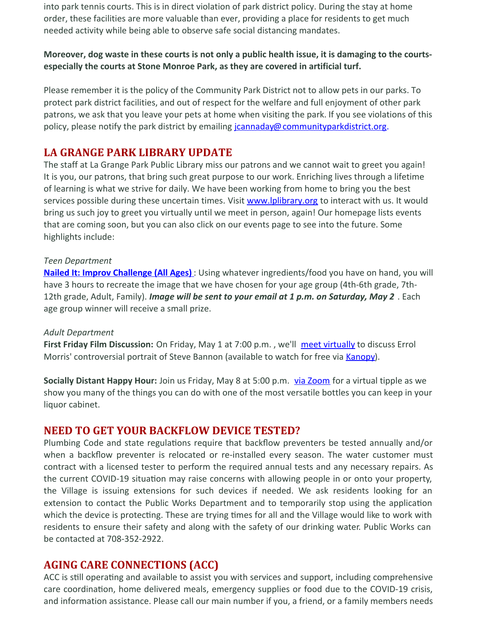into park tennis courts. This is in direct violation of park district policy. During the stay at home order, these facilities are more valuable than ever, providing a place for residents to get much needed activity while being able to observe safe social distancing mandates.

#### Moreover, dog waste in these courts is not only a public health issue, it is damaging to the courts**especially the courts at Stone Monroe Park, as they are covered in artificial turf.**

Please remember it is the policy of the Community Park District not to allow pets in our parks. To protect park district facilities, and out of respect for the welfare and full enjoyment of other park patrons, we ask that you leave your pets at home when visiting the park. If you see violations of this policy, please notify the park district by emailing *[jcannaday@communityparkdistrict.org](mailto:jcannaday@communityparkdistrict.org).* 

### **LA GRANGE PARK LIBRARY UPDATE**

The staff at La Grange Park Public Library miss our patrons and we cannot wait to greet you again! It is you, our patrons, that bring such great purpose to our work. Enriching lives through a lifetime of learning is what we strive for daily. We have been working from home to bring you the best services possible during these uncertain times. Visit [www.lplibrary.org](http://www.lplibrary.org/) to interact with us. It would bring us such joy to greet you virtually until we meet in person, again! Our homepage lists events that are coming soon, but you can also click on our events page to see into the future. Some highlights include:

#### *Teen Department*

**Nailed It: Improv [Challenge](https://www.lplibrary.org/events2/nailed-it-improv-challenge-all-ages/?occurrence=2020-05-02) (All Ages)** : Using whatever ingredients/food you have on hand, you will have 3 hours to recreate the image that we have chosen for your age group (4th-6th grade, 7th-12th grade, Adult, Family). *Image will be sent to your email at 1 p.m. on Saturday, May 2* . Each age group winner will receive a small prize.

#### *Adult Department*

**First Friday Film Discussion:** On Friday, May 1 at 7:00 p.m. , we'll meet [virtually](https://www.lplibrary.org/events2/first-friday-film-discussion-american-dharma/) to discuss Errol Morris' controversial portrait of Steve Bannon (available to watch for free via [Kanopy](https://lplibrary.kanopy.com/product/american-dharma)).

**Socially Distant Happy Hour:** Join us Friday, May 8 at 5:00 p.m. via [Zoom](https://www.lplibrary.org/events2/socially-distant-happy-hour/?occurrence=2020-05-08) for a virtual tipple as we show you many of the things you can do with one of the most versatile bottles you can keep in your liquor cabinet.

#### **NEED TO GET YOUR BACKFLOW DEVICE TESTED?**

Plumbing Code and state regulations require that backflow preventers be tested annually and/or when a backflow preventer is relocated or re-installed every season. The water customer must contract with a licensed tester to perform the required annual tests and any necessary repairs. As the current COVID-19 situation may raise concerns with allowing people in or onto your property, the Village is issuing extensions for such devices if needed. We ask residents looking for an extension to contact the Public Works Department and to temporarily stop using the application which the device is protecting. These are trying times for all and the Village would like to work with residents to ensure their safety and along with the safety of our drinking water. Public Works can be contacted at 708-352-2922.

#### **AGING CARE CONNECTIONS (ACC)**

ACC is still operating and available to assist you with services and support, including comprehensive care coordination, home delivered meals, emergency supplies or food due to the COVID-19 crisis, and information assistance. Please call our main number if you, a friend, or a family members needs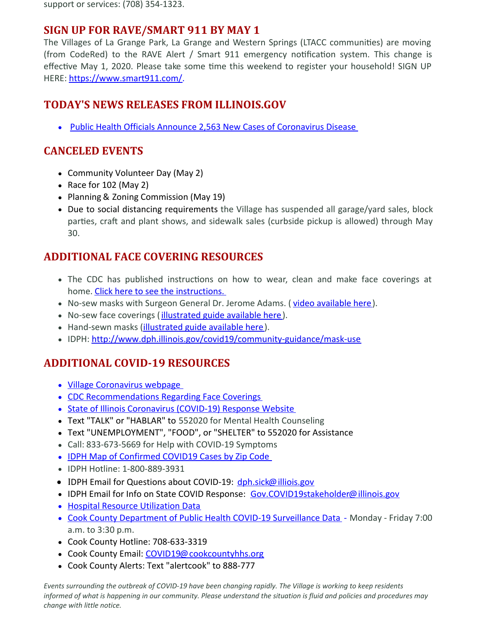support or services: (708) 354-1323.

### **SIGN UP FOR RAVE/SMART 911 BY MAY 1**

The Villages of La Grange Park, La Grange and Western Springs (LTACC communities) are moving (from CodeRed) to the RAVE Alert / Smart 911 emergency notification system. This change is effective May 1, 2020. Please take some time this weekend to register your household! SIGN UP HERE: <https://www.smart911.com/>.

## **TODAY'S NEWS RELEASES FROM ILLINOIS.GOV**

• Public Health Officials Announce 2,563 New Cases of [Coronavirus](https://www2.illinois.gov/Pages/news-item.aspx?ReleaseID=21485) Disease

## **CANCELED EVENTS**

- Community Volunteer Day (May 2)
- Race for  $102$  (May 2)
- Planning & Zoning Commission (May 19)
- Due to social distancing requirements the Village has suspended all garage/yard sales, block parties, craft and plant shows, and sidewalk sales (curbside pickup is allowed) through May 30.

### **ADDITIONAL FACE COVERING RESOURCES**

- The CDC has published instructions on how to wear, clean and make face coverings at home. Click here to see the [instructions.](https://www.cdc.gov/coronavirus/2019-ncov/downloads/DIY-cloth-face-covering-instructions.pdf)
- No-sew masks with Surgeon General Dr. Jerome Adams. ( video [available](https://www.youtube.com/watch?v=tPx1yqvJgf4) here).
- No-sew face coverings ([illustrated](https://www.cnn.com/2020/04/04/health/how-to-make-your-own-mask-wellness-trnd/index.html) guide available here).
- Hand-sewn masks [\(illustrated](https://www.usatoday.com/in-depth/news/2020/04/04/coronavirus-face-mask-tips-how-make-fabric-instructions/2945209001/) guide available here).
- IDPH: <http://www.dph.illinois.gov/covid19/community-guidance/mask-use>

## **ADDITIONAL COVID-19 RESOURCES**

- Village [Coronavirus](http://www.lagrangepark.org/505/Coronavirus-COVID-19) webpage
- CDC [Recommendations](https://www.cdc.gov/coronavirus/2019-ncov/prevent-getting-sick/cloth-face-cover.html) Regarding Face Coverings
- State of Illinois [Coronavirus](https://www2.illinois.gov/sites/coronavirus/Pages/default.aspx) (COVID-19) Response Website
- Text "TALK" or "HABLAR" to 552020 for Mental Health Counseling
- Text "UNEMPLOYMENT", "FOOD", or "SHELTER" to 552020 for Assistance
- Call: 833-673-5669 for Help with COVID-19 Symptoms
- IDPH Map of [Confirmed](https://www.dph.illinois.gov/covid19/covid19-statistics) COVID19 Cases by Zip Code
- IDPH Hotline: 1-800-889-3931
- IDPH Email for Questions about COVID-19: [dph.sick@illiois.gov](mailto:dph.sick@illiois.gov)
- IDPH Email for Info on State COVID Response: [Gov.COVID19stakeholder@illinois.gov](mailto:Gov.COVID19stakeholder@illinois.gov)
- Hospital Resource [Utilization](http://www.dph.illinois.gov/covid19/hospitalization-utilization) Data
- Cook County [Department](https://ccdphcd.shinyapps.io/covid19/) of Public Health COVID-19 Surveillance Data Monday Friday 7:00 a.m. to 3:30 p.m.
- Cook County Hotline: 708-633-3319
- Cook County Email: [COVID19@cookcountyhhs.org](mailto:COVID19@cookcountyhhs.org)
- Cook County Alerts: Text "alertcook" to 888-777

Events surrounding the outbreak of COVID-19 have been changing rapidly. The Village is working to keep residents informed of what is happening in our community. Please understand the situation is fluid and policies and procedures may *change with little notice.*